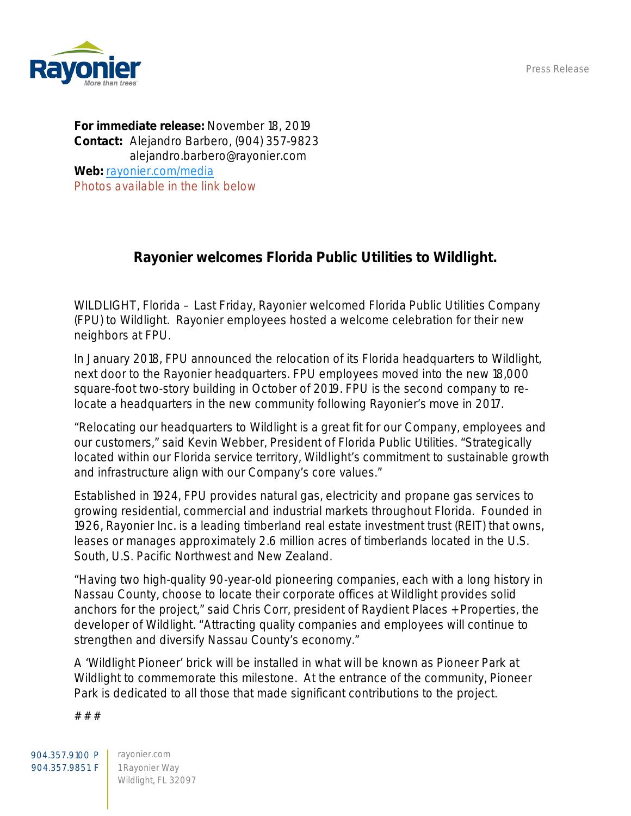Press Release



For immediate release: November 18, 2019 Contact: Alejandro Barbero, (904) 357-9823 alejandro.barbero@rayonier.com Web: [rayonier.com/media](http://www.rayonier.com/media) *Photos available in the link below*

## Rayonier welcomes Florida Public Utilities to Wildlight.

WILDLIGHT, Florida – Last Friday, Rayonier welcomed Florida Public Utilities Company (FPU) to Wildlight. Rayonier employees hosted a welcome celebration for their new neighbors at FPU.

In January 2018, FPU announced the relocation of its Florida headquarters to Wildlight, next door to the Rayonier headquarters. FPU employees moved into the new 18,000 square-foot two-story building in October of 2019. FPU is the second company to relocate a headquarters in the new community following Rayonier's move in 2017.

"Relocating our headquarters to Wildlight is a great fit for our Company, employees and our customers," said Kevin Webber, President of Florida Public Utilities. "Strategically located within our Florida service territory, Wildlight's commitment to sustainable growth and infrastructure align with our Company's core values."

Established in 1924, FPU provides natural gas, electricity and propane gas services to growing residential, commercial and industrial markets throughout Florida. Founded in 1926, Rayonier Inc. is a leading timberland real estate investment trust (REIT) that owns, leases or manages approximately 2.6 million acres of timberlands located in the U.S. South, U.S. Pacific Northwest and New Zealand.

"Having two high-quality 90-year-old pioneering companies, each with a long history in Nassau County, choose to locate their corporate offices at Wildlight provides solid anchors for the project," said Chris Corr, president of Raydient Places + Properties, the developer of Wildlight. "Attracting quality companies and employees will continue to strengthen and diversify Nassau County's economy."

A 'Wildlight Pioneer' brick will be installed in what will be known as Pioneer Park at Wildlight to commemorate this milestone. At the entrance of the community, Pioneer Park is dedicated to all those that made significant contributions to the project.

# # #